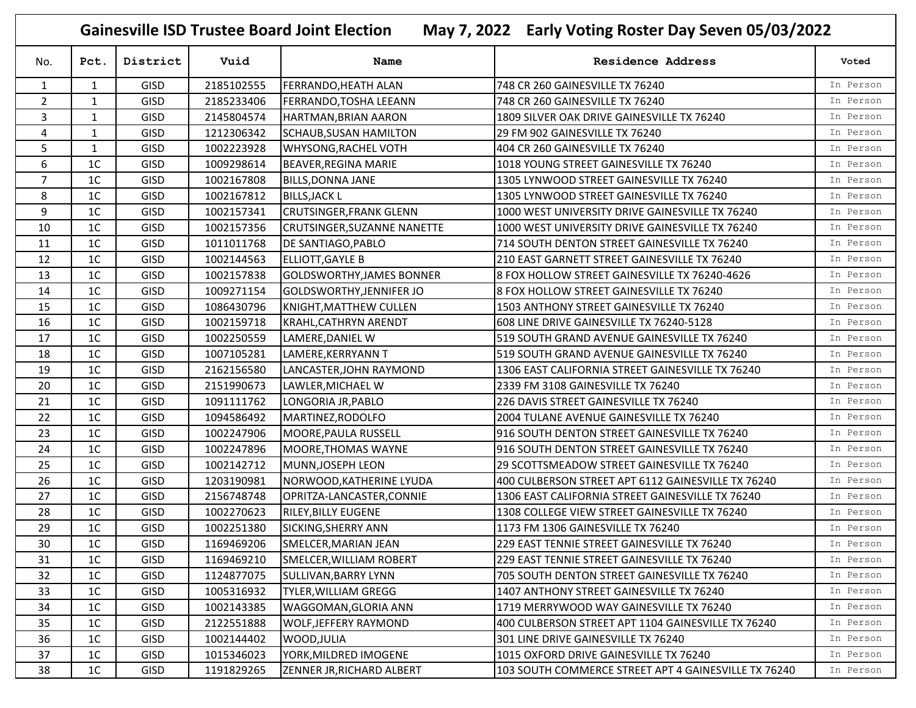**Gainesville ISD Trustee Board Joint Election May 7, 2022 Early Voting Roster Day Seven 05/03/2022**

| No.            | Pct.           | District    | Vuid       | Name                             | Residence Address                                    | Voted     |
|----------------|----------------|-------------|------------|----------------------------------|------------------------------------------------------|-----------|
| 1              | $\mathbf{1}$   | <b>GISD</b> | 2185102555 | <b>FERRANDO, HEATH ALAN</b>      | 748 CR 260 GAINESVILLE TX 76240                      | In Person |
| $\overline{2}$ | $\mathbf{1}$   | <b>GISD</b> | 2185233406 | FERRANDO, TOSHA LEEANN           | 748 CR 260 GAINESVILLE TX 76240                      | In Person |
| 3              | $\mathbf{1}$   | <b>GISD</b> | 2145804574 | <b>HARTMAN, BRIAN AARON</b>      | 1809 SILVER OAK DRIVE GAINESVILLE TX 76240           | In Person |
| 4              | 1              | <b>GISD</b> | 1212306342 | <b>SCHAUB, SUSAN HAMILTON</b>    | 29 FM 902 GAINESVILLE TX 76240                       | In Person |
| 5              | $\mathbf{1}$   | <b>GISD</b> | 1002223928 | <b>WHYSONG, RACHEL VOTH</b>      | 404 CR 260 GAINESVILLE TX 76240                      | In Person |
| 6              | 1 <sup>C</sup> | <b>GISD</b> | 1009298614 | BEAVER, REGINA MARIE             | 1018 YOUNG STREET GAINESVILLE TX 76240               | In Person |
| $\overline{7}$ | 1 <sup>C</sup> | <b>GISD</b> | 1002167808 | <b>BILLS, DONNA JANE</b>         | 1305 LYNWOOD STREET GAINESVILLE TX 76240             | In Person |
| 8              | 1 <sup>C</sup> | <b>GISD</b> | 1002167812 | <b>BILLS, JACK L</b>             | 1305 LYNWOOD STREET GAINESVILLE TX 76240             | In Person |
| 9              | 1 <sup>C</sup> | GISD        | 1002157341 | <b>CRUTSINGER, FRANK GLENN</b>   | 1000 WEST UNIVERSITY DRIVE GAINESVILLE TX 76240      | In Person |
| 10             | 1 <sup>C</sup> | <b>GISD</b> | 1002157356 | CRUTSINGER, SUZANNE NANETTE      | 1000 WEST UNIVERSITY DRIVE GAINESVILLE TX 76240      | In Person |
| 11             | 1 <sup>C</sup> | <b>GISD</b> | 1011011768 | <b>DE SANTIAGO, PABLO</b>        | 714 SOUTH DENTON STREET GAINESVILLE TX 76240         | In Person |
| 12             | 1C             | <b>GISD</b> | 1002144563 | <b>ELLIOTT, GAYLE B</b>          | 210 EAST GARNETT STREET GAINESVILLE TX 76240         | In Person |
| 13             | 1 <sup>C</sup> | <b>GISD</b> | 1002157838 | <b>GOLDSWORTHY, JAMES BONNER</b> | 8 FOX HOLLOW STREET GAINESVILLE TX 76240-4626        | In Person |
| 14             | 1C             | <b>GISD</b> | 1009271154 | <b>GOLDSWORTHY, JENNIFER JO</b>  | 8 FOX HOLLOW STREET GAINESVILLE TX 76240             | In Person |
| 15             | 1 <sup>C</sup> | <b>GISD</b> | 1086430796 | KNIGHT, MATTHEW CULLEN           | 1503 ANTHONY STREET GAINESVILLE TX 76240             | In Person |
| 16             | 1 <sup>C</sup> | <b>GISD</b> | 1002159718 | <b>KRAHL, CATHRYN ARENDT</b>     | 608 LINE DRIVE GAINESVILLE TX 76240-5128             | In Person |
| 17             | 1 <sup>C</sup> | <b>GISD</b> | 1002250559 | LAMERE, DANIEL W                 | 519 SOUTH GRAND AVENUE GAINESVILLE TX 76240          | In Person |
| 18             | 1C             | <b>GISD</b> | 1007105281 | LAMERE, KERRYANN T               | 519 SOUTH GRAND AVENUE GAINESVILLE TX 76240          | In Person |
| 19             | 1C             | <b>GISD</b> | 2162156580 | LANCASTER, JOHN RAYMOND          | 1306 EAST CALIFORNIA STREET GAINESVILLE TX 76240     | In Person |
| 20             | 1 <sup>C</sup> | <b>GISD</b> | 2151990673 | LAWLER, MICHAEL W                | 2339 FM 3108 GAINESVILLE TX 76240                    | In Person |
| 21             | 1C             | <b>GISD</b> | 1091111762 | LONGORIA JR, PABLO               | 226 DAVIS STREET GAINESVILLE TX 76240                | In Person |
| 22             | 1 <sup>C</sup> | <b>GISD</b> | 1094586492 | MARTINEZ, RODOLFO                | 2004 TULANE AVENUE GAINESVILLE TX 76240              | In Person |
| 23             | 1 <sup>C</sup> | <b>GISD</b> | 1002247906 | MOORE, PAULA RUSSELL             | 916 SOUTH DENTON STREET GAINESVILLE TX 76240         | In Person |
| 24             | 1 <sup>C</sup> | <b>GISD</b> | 1002247896 | <b>MOORE, THOMAS WAYNE</b>       | 916 SOUTH DENTON STREET GAINESVILLE TX 76240         | In Person |
| 25             | 1 <sup>C</sup> | <b>GISD</b> | 1002142712 | MUNN, JOSEPH LEON                | 29 SCOTTSMEADOW STREET GAINESVILLE TX 76240          | In Person |
| 26             | 1C             | <b>GISD</b> | 1203190981 | NORWOOD, KATHERINE LYUDA         | 400 CULBERSON STREET APT 6112 GAINESVILLE TX 76240   | In Person |
| 27             | 1 <sup>C</sup> | <b>GISD</b> | 2156748748 | OPRITZA-LANCASTER, CONNIE        | 1306 EAST CALIFORNIA STREET GAINESVILLE TX 76240     | In Person |
| 28             | 1C             | <b>GISD</b> | 1002270623 | <b>RILEY, BILLY EUGENE</b>       | 1308 COLLEGE VIEW STREET GAINESVILLE TX 76240        | In Person |
| 29             | 1C             | <b>GISD</b> | 1002251380 | SICKING, SHERRY ANN              | 1173 FM 1306 GAINESVILLE TX 76240                    | In Person |
| 30             | 1C             | <b>GISD</b> | 1169469206 | SMELCER, MARIAN JEAN             | 229 EAST TENNIE STREET GAINESVILLE TX 76240          | In Person |
| 31             | 1 <sup>C</sup> | <b>GISD</b> | 1169469210 | SMELCER, WILLIAM ROBERT          | 229 EAST TENNIE STREET GAINESVILLE TX 76240          | In Person |
| 32             | 1 <sup>C</sup> | <b>GISD</b> | 1124877075 | <b>SULLIVAN, BARRY LYNN</b>      | 705 SOUTH DENTON STREET GAINESVILLE TX 76240         | In Person |
| 33             | 1 <sup>C</sup> | <b>GISD</b> | 1005316932 | <b>TYLER, WILLIAM GREGG</b>      | 1407 ANTHONY STREET GAINESVILLE TX 76240             | In Person |
| 34             | 1C             | <b>GISD</b> | 1002143385 | <b>WAGGOMAN, GLORIA ANN</b>      | 1719 MERRYWOOD WAY GAINESVILLE TX 76240              | In Person |
| 35             | 1 <sup>C</sup> | <b>GISD</b> | 2122551888 | <b>WOLF, JEFFERY RAYMOND</b>     | 400 CULBERSON STREET APT 1104 GAINESVILLE TX 76240   | In Person |
| 36             | 1 <sup>C</sup> | <b>GISD</b> | 1002144402 | WOOD, JULIA                      | 301 LINE DRIVE GAINESVILLE TX 76240                  | In Person |
| 37             | 1 <sup>C</sup> | <b>GISD</b> | 1015346023 | YORK, MILDRED IMOGENE            | 1015 OXFORD DRIVE GAINESVILLE TX 76240               | In Person |
| 38             | 1 <sup>C</sup> | <b>GISD</b> | 1191829265 | <b>ZENNER JR, RICHARD ALBERT</b> | 103 SOUTH COMMERCE STREET APT 4 GAINESVILLE TX 76240 | In Person |